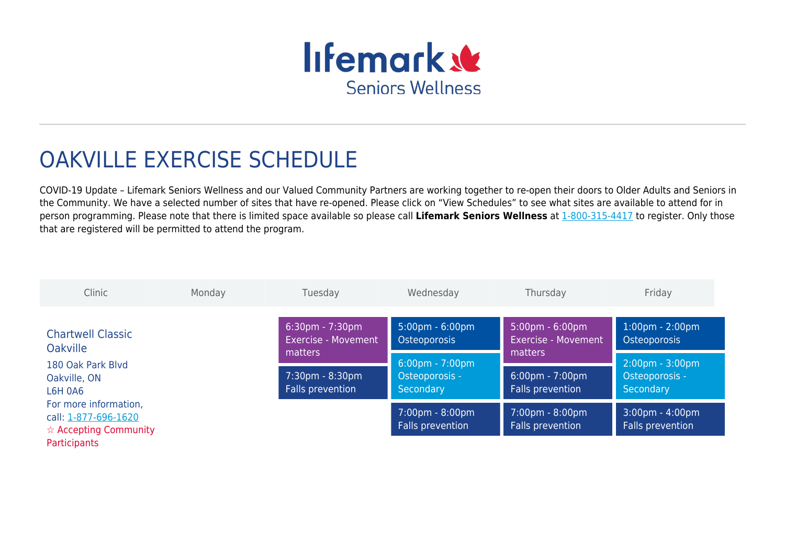

# OAKVILLE EXERCISE SCHEDULE

COVID-19 Update – Lifemark Seniors Wellness and our Valued Community Partners are working together to re-open their doors to Older Adults and Seniors in the Community. We have a selected number of sites that have re-opened. Please click on "View Schedules" to see what sites are available to attend for in person programming. Please note that there is limited space available so please call **Lifemark Seniors Wellness** at [1-800-315-4417](#page--1-0) to register. Only those that are registered will be permitted to attend the program.

| Clinic                                                                                                  | Monday | Tuesday                    | Wednesday                                             | Thursday                                              | Friday                                                |
|---------------------------------------------------------------------------------------------------------|--------|----------------------------|-------------------------------------------------------|-------------------------------------------------------|-------------------------------------------------------|
| <b>Chartwell Classic</b>                                                                                |        | $6:30$ pm - 7:30pm         | $5:00 \text{pm} - 6:00 \text{pm}$                     | $5:00 \text{pm} - 6:00 \text{pm}$                     | $1:00 \text{pm} - 2:00 \text{pm}$                     |
| <b>Oakville</b>                                                                                         |        | <b>Exercise - Movement</b> | Osteoporosis                                          | <b>Exercise - Movement</b>                            | Osteoporosis                                          |
| 180 Oak Park Blyd                                                                                       |        | matters                    | $6:00 \text{pm} - 7:00 \text{pm}$                     | matters                                               | $2:00 \text{pm} - 3:00 \text{pm}$                     |
| Oakville, ON                                                                                            |        | 7:30pm - 8:30pm            | Osteoporosis -                                        | $6:00 \text{pm} - 7:00 \text{pm}$                     | Osteoporosis -                                        |
| <b>L6H 0A6</b>                                                                                          |        | Falls prevention           | Secondary                                             | Falls prevention                                      | Secondary                                             |
| For more information,<br>call: 1-877-696-1620<br>$\hat{\mathbf{x}}$ Accepting Community<br>Participants |        |                            | $7:00 \text{pm} - 8:00 \text{pm}$<br>Falls prevention | $7:00 \text{pm} - 8:00 \text{pm}$<br>Falls prevention | $3:00 \text{pm} - 4:00 \text{pm}$<br>Falls prevention |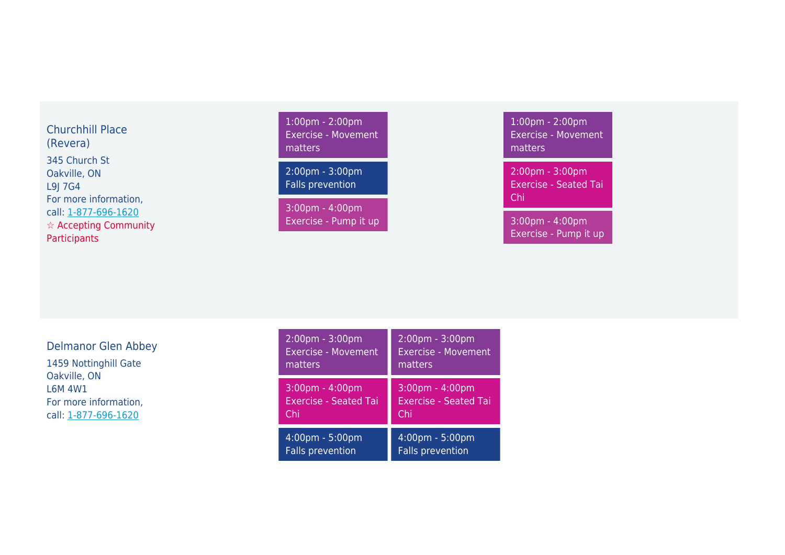#### Churchhill Place (Revera)

345 Church St Oakville, ON L9J 7G4 For more information, call: [1-877-696-1620](#page--1-0) ☆ Accepting Community **Participants** 

## 1:00pm - 2:00pm Exercise - Movement matters

2:00pm - 3:00pm Falls prevention

3:00pm - 4:00pm Exercise - Pump it up 1:00pm - 2:00pm Exercise - Movement matters

2:00pm - 3:00pm Exercise - Seated Tai Chi

3:00pm - 4:00pm Exercise - Pump it up

#### Delmanor Glen Abbey

1459 Nottinghill Gate Oakville, ON L6M 4W1 For more information, call: [1-877-696-1620](#page--1-0)

| $2:00 \text{pm} - 3:00 \text{pm}$ | $2:00 \text{pm} - 3:00 \text{pm}$ |
|-----------------------------------|-----------------------------------|
| <b>Exercise - Movement</b>        | <b>Exercise - Movement</b>        |
| matters                           | matters                           |
| $3:00 \text{pm} - 4:00 \text{pm}$ | $3:00$ pm - 4:00pm                |
| <b>Exercise - Seated Tai</b>      | <b>Exercise - Seated Tai</b>      |
| Chi                               | Chi                               |
| 4:00pm - 5:00pm                   | 4:00pm - 5:00pm                   |
| <b>Falls prevention</b>           | <b>Falls prevention</b>           |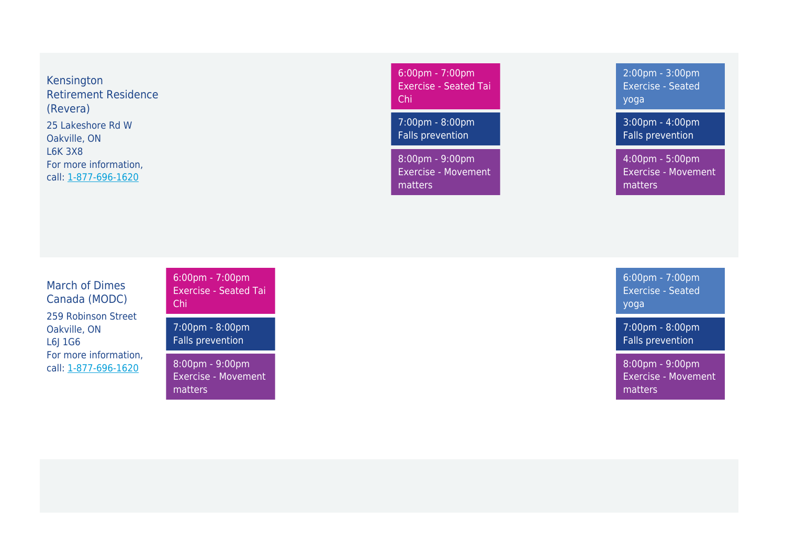Kensington Retirement Residence (Revera) 25 Lakeshore Rd W Oakville, ON L6K 3X8 For more information, call: [1-877-696-1620](#page--1-0)

6:00pm - 7:00pm Exercise - Seated Tai Chi

7:00pm - 8:00pm Falls prevention

8:00pm - 9:00pm Exercise - Movement matters

2:00pm - 3:00pm Exercise - Seated yoga

3:00pm - 4:00pm Falls prevention

4:00pm - 5:00pm Exercise - Movement matters

### March of Dimes Canada (MODC)

259 Robinson Street Oakville, ON L6J 1G6 For more information, call: [1-877-696-1620](#page--1-0)

6:00pm - 7:00pm Exercise - Seated Tai Chi

7:00pm - 8:00pm Falls prevention

8:00pm - 9:00pm Exercise - Movement matters

6:00pm - 7:00pm Exercise - Seated yoga

7:00pm - 8:00pm Falls prevention

8:00pm - 9:00pm Exercise - Movement matters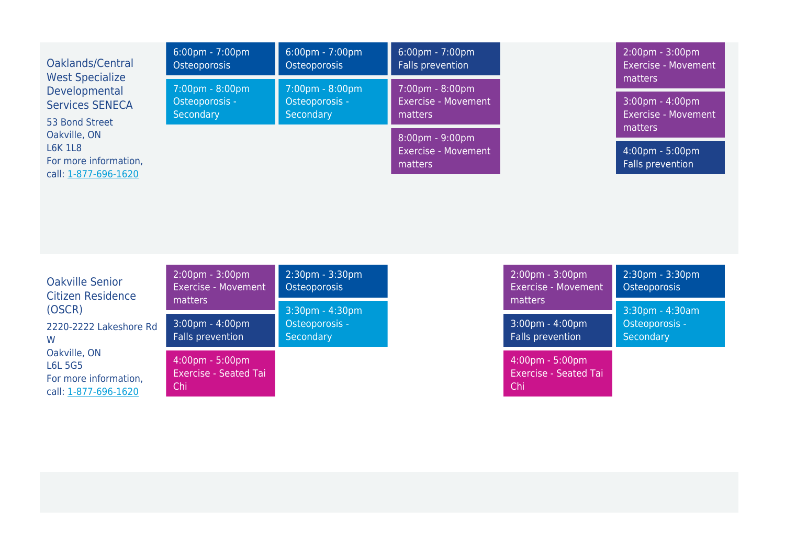| Oaklands/Central                                                                | $6:00 \text{pm} - 7:00 \text{pm}$ | $6:00 \text{pm} - 7:00 \text{pm}$ | $6:00 \text{pm} - 7:00 \text{pm}$                                          | $2:00 \text{pm} - 3:00 \text{pm}$                                |
|---------------------------------------------------------------------------------|-----------------------------------|-----------------------------------|----------------------------------------------------------------------------|------------------------------------------------------------------|
| <b>West Specialize</b>                                                          | Osteoporosis                      | Osteoporosis                      | Falls prevention                                                           | <b>Exercise - Movement</b>                                       |
| Developmental                                                                   | $7:00 \text{pm} - 8:00 \text{pm}$ | 7:00pm - 8:00pm                   | $7:00 \text{pm} - 8:00 \text{pm}$                                          | matters                                                          |
| <b>Services SENECA</b>                                                          | Osteoporosis -                    | Osteoporosis -                    | <b>Exercise - Movement</b>                                                 | $3:00 \text{pm} - 4:00 \text{pm}$                                |
| 53 Bond Street                                                                  | Secondary                         | Secondary                         | matters                                                                    | <b>Exercise - Movement</b>                                       |
| Oakville, ON<br><b>L6K 1L8</b><br>For more information,<br>call: 1-877-696-1620 |                                   |                                   | $8:00 \text{pm} - 9:00 \text{pm}$<br><b>Exercise - Movement</b><br>matters | matters<br>$4:00 \text{pm} - 5:00 \text{pm}$<br>Falls prevention |

| <b>Oakville Senior</b>                                                          | $2:00 \text{pm} - 3:00 \text{pm}$                      | 2:30pm - 3:30pm |
|---------------------------------------------------------------------------------|--------------------------------------------------------|-----------------|
| <b>Citizen Residence</b>                                                        | <b>Exercise - Movement</b>                             | Osteoporosis    |
| (OSCR)                                                                          | matters                                                | 3:30pm - 4:30pm |
| 2220-2222 Lakeshore Rd                                                          | $3:00 \text{pm} - 4:00 \text{pm}$                      | Osteoporosis -  |
| W                                                                               | <b>Falls prevention</b>                                | Secondary       |
| Oakville, ON<br><b>L6L 5G5</b><br>For more information,<br>call: 1-877-696-1620 | 4:00pm - 5:00pm<br><b>Exercise - Seated Tai</b><br>Chi |                 |

| 2:00pm - 3:00pm                                                          | 2:30pm - 3:30pm |  |
|--------------------------------------------------------------------------|-----------------|--|
| <b>Exercise - Movement</b>                                               | Osteoporosis    |  |
| matters                                                                  | 3:30pm - 4:30am |  |
| $3:00$ pm - $4:00$ pm                                                    | Osteoporosis -  |  |
| <b>Falls prevention</b>                                                  | Secondary       |  |
| $4:00 \text{pm} - 5:00 \text{pm}$<br><b>Exercise - Seated Tai</b><br>Chi |                 |  |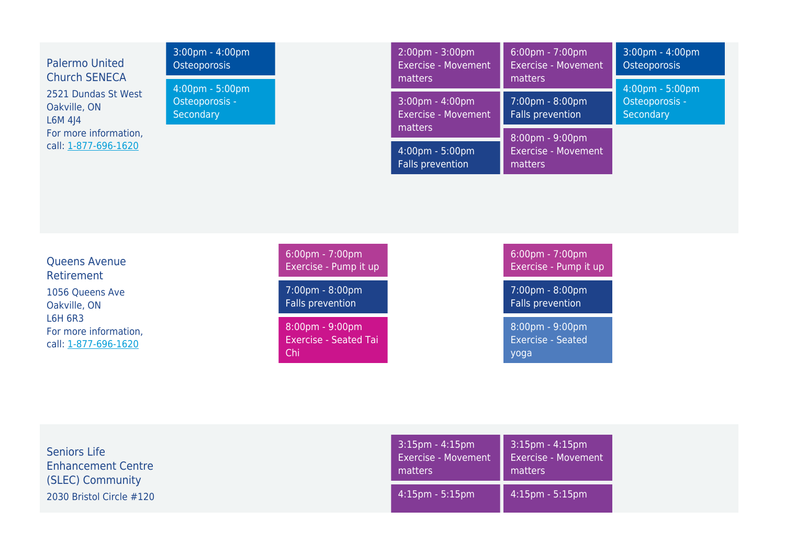| <b>Palermo United</b><br><b>Church SENECA</b><br>2521 Dundas St West<br>Oakville, ON<br>L6M414<br>For more information,<br>call: 1-877-696-1620 | 3:00pm - 4:00pm<br><b>Osteoporosis</b><br>4:00pm - 5:00pm<br>Osteoporosis -<br>Secondary |                                                                                                                                                             | 2:00pm - 3:00pm<br><b>Exercise - Movement</b><br>matters<br>$3:00 \text{pm} - 4:00 \text{pm}$<br><b>Exercise - Movement</b><br>matters<br>4:00pm - 5:00pm<br>Falls prevention | 6:00pm - 7:00pm<br><b>Exercise - Movement</b><br>matters<br>7:00pm - 8:00pm<br>Falls prevention<br>8:00pm - 9:00pm<br><b>Exercise - Movement</b><br>matters | 3:00pm - 4:00pm<br>Osteoporosis<br>4:00pm - 5:00pm<br>Osteoporosis -<br>Secondary |
|-------------------------------------------------------------------------------------------------------------------------------------------------|------------------------------------------------------------------------------------------|-------------------------------------------------------------------------------------------------------------------------------------------------------------|-------------------------------------------------------------------------------------------------------------------------------------------------------------------------------|-------------------------------------------------------------------------------------------------------------------------------------------------------------|-----------------------------------------------------------------------------------|
| <b>Queens Avenue</b><br>Retirement<br>1056 Queens Ave<br>Oakville, ON<br><b>L6H 6R3</b><br>For more information,<br>call: 1-877-696-1620        |                                                                                          | 6:00pm - 7:00pm<br>Exercise - Pump it up<br>7:00pm - 8:00pm<br>Falls prevention<br>$8:00 \text{pm} - 9:00 \text{pm}$<br><b>Exercise - Seated Tai</b><br>Chi |                                                                                                                                                                               | $6:00 \text{pm} - 7:00 \text{pm}$<br>Exercise - Pump it up<br>7:00pm - 8:00pm<br>Falls prevention<br>8:00pm - 9:00pm<br><b>Exercise - Seated</b><br>yoga    |                                                                                   |

| <b>Seniors Life</b>       | $3:15 \text{pm} - 4:15 \text{pm}$ | $3:15 \text{pm} - 4:15 \text{pm}$ |
|---------------------------|-----------------------------------|-----------------------------------|
| <b>Enhancement Centre</b> | <b>Exercise - Movement</b>        | <b>Exercise - Movement</b>        |
| (SLEC) Community          | matters                           | matters                           |
| 2030 Bristol Circle #120  | $4:15 \text{pm} - 5:15 \text{pm}$ | $4:15 \text{pm} - 5:15 \text{pm}$ |